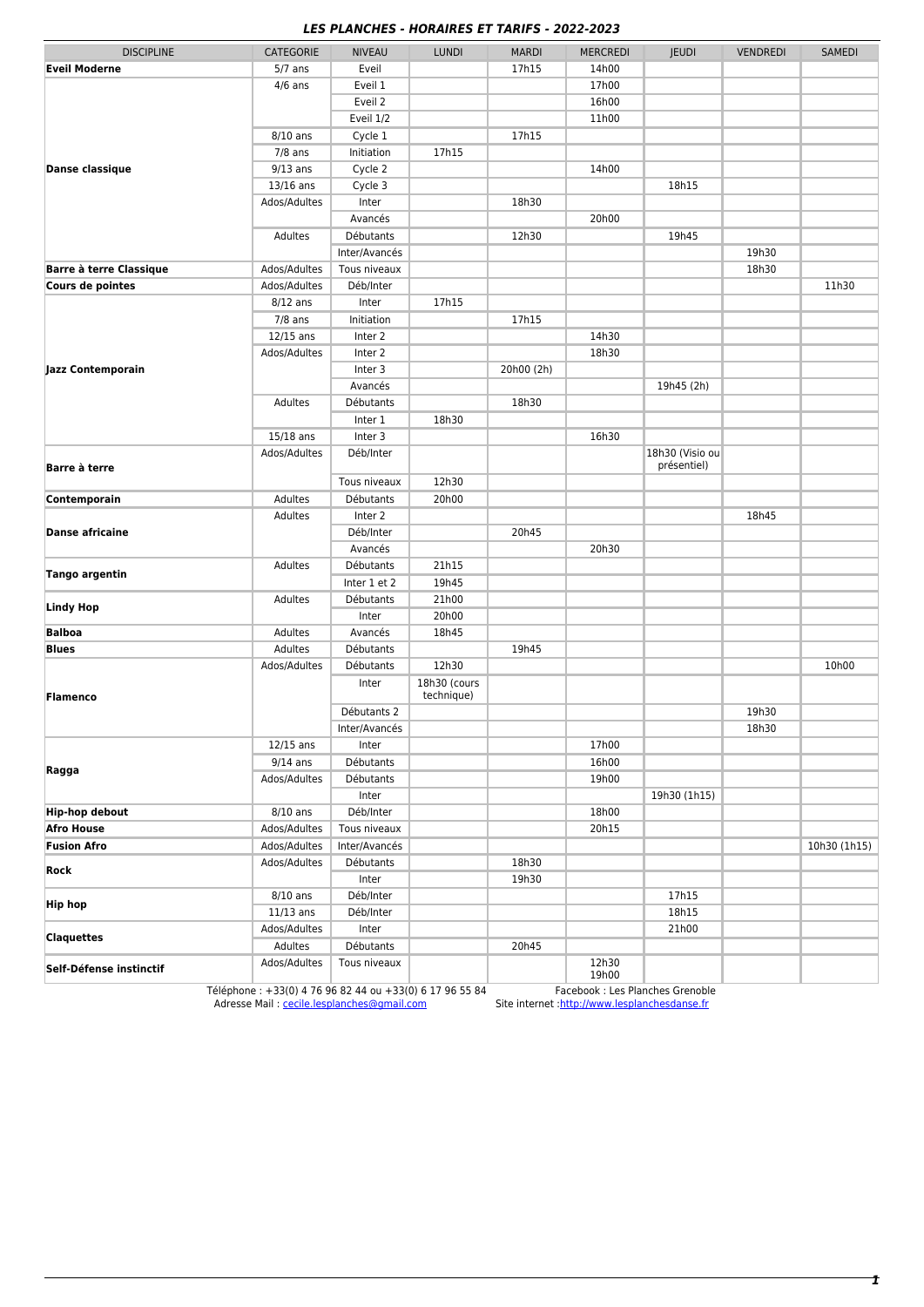## *LES PLANCHES - HORAIRES ET TARIFS - 2022-2023*

|                                |                           | ,, ,,,,,,,,,,      | $-110101$    | \LJ LT TAI\II J - ŁUŁŁ-ŁUŁJ |                 |                                |                 |               |
|--------------------------------|---------------------------|--------------------|--------------|-----------------------------|-----------------|--------------------------------|-----------------|---------------|
| <b>DISCIPLINE</b>              | CATEGORIE                 | <b>NIVEAU</b>      | <b>LUNDI</b> | <b>MARDI</b>                | <b>MERCREDI</b> | <b>JEUDI</b>                   | <b>VENDREDI</b> | <b>SAMEDI</b> |
| <b>Eveil Moderne</b>           | $5/7$ ans                 | Eveil              |              | 17h15                       | 14h00           |                                |                 |               |
| <b>Danse classique</b>         | $4/6$ ans                 | Eveil 1            |              |                             | 17h00           |                                |                 |               |
|                                |                           | Eveil 2            |              |                             | 16h00           |                                |                 |               |
|                                |                           | Eveil 1/2          |              |                             | 11h00           |                                |                 |               |
|                                | $8/10$ ans                | Cycle 1            |              | 17h15                       |                 |                                |                 |               |
|                                | $7/8$ ans                 | Initiation         | 17h15        |                             |                 |                                |                 |               |
|                                | $9/13$ ans                | Cycle 2            |              |                             | 14h00           |                                |                 |               |
|                                | 13/16 ans                 | Cycle 3            |              |                             |                 | 18h15                          |                 |               |
|                                | Ados/Adultes              | Inter              |              | 18h30                       |                 |                                |                 |               |
|                                |                           | Avancés            |              |                             | 20h00           |                                |                 |               |
|                                | Adultes                   | <b>Débutants</b>   |              | 12h30                       |                 | 19h45                          |                 |               |
|                                |                           | Inter/Avancés      |              |                             |                 |                                | 19h30           |               |
| <b>Barre à terre Classique</b> | Ados/Adultes              | Tous niveaux       |              |                             |                 |                                | 18h30           |               |
| Cours de pointes               | Ados/Adultes              | Déb/Inter          |              |                             |                 |                                |                 | 11h30         |
| Jazz Contemporain              | $8/12$ ans                | Inter              | 17h15        |                             |                 |                                |                 |               |
|                                | $7/8$ ans                 | Initiation         |              | 17h15                       |                 |                                |                 |               |
|                                | $12/15$ ans               | Inter 2            |              |                             | 14h30           |                                |                 |               |
|                                | Ados/Adultes              | Inter 2            |              |                             | 18h30           |                                |                 |               |
|                                |                           | Inter 3            |              | 20h00 (2h)                  |                 |                                |                 |               |
|                                |                           | Avancés            |              |                             |                 | 19h45 (2h)                     |                 |               |
|                                | Adultes                   | Débutants          |              | 18h30                       |                 |                                |                 |               |
|                                |                           | Inter 1            | 18h30        |                             |                 |                                |                 |               |
|                                | 15/18 ans                 | Inter 3            |              |                             | 16h30           |                                |                 |               |
| Barre à terre                  | Ados/Adultes              | Déb/Inter          |              |                             |                 | 18h30 (Visio ou<br>présentiel) |                 |               |
|                                |                           | Tous niveaux       | 12h30        |                             |                 |                                |                 |               |
| Contemporain                   | Adultes                   | Débutants          | 20h00        |                             |                 |                                |                 |               |
| <b>Danse africaine</b>         | Adultes                   | Inter 2            |              |                             |                 |                                | 18h45           |               |
|                                |                           | Déb/Inter          |              | 20h45                       |                 |                                |                 |               |
|                                |                           | Avancés            |              |                             | 20h30           |                                |                 |               |
| Tango argentin                 | Adultes                   | Débutants          | 21h15        |                             |                 |                                |                 |               |
|                                |                           | Inter 1 et 2       | 19h45        |                             |                 |                                |                 |               |
| <b>Lindy Hop</b>               | Adultes                   | Débutants          | 21h00        |                             |                 |                                |                 |               |
|                                |                           | Inter              | 20h00        |                             |                 |                                |                 |               |
| <b>Balboa</b>                  | Adultes                   | Avancés            | 18h45        |                             |                 |                                |                 |               |
| <b>Blues</b>                   | Adultes                   | Débutants          |              | 19h45                       |                 |                                |                 |               |
| <b>Flamenco</b><br>Ragga       | Ados/Adultes              | Débutants          | 12h30        |                             |                 |                                |                 | 10h00         |
|                                |                           | Inter              | 18h30 (cours |                             |                 |                                |                 |               |
|                                |                           | Débutants 2        | technique)   |                             |                 |                                | 19h30           |               |
|                                |                           | Inter/Avancés      |              |                             |                 |                                | 18h30           |               |
|                                |                           |                    |              |                             | 17h00           |                                |                 |               |
|                                | $12/15$ ans<br>$9/14$ ans | Inter<br>Débutants |              |                             | 16h00           |                                |                 |               |
|                                | Ados/Adultes              | Débutants          |              |                             | 19h00           |                                |                 |               |
|                                |                           |                    |              |                             |                 | 19h30 (1h15)                   |                 |               |
| <b>Hip-hop debout</b>          | $8/10$ ans                | Inter<br>Déb/Inter |              |                             | 18h00           |                                |                 |               |
| <b>Afro House</b>              | Ados/Adultes              | Tous niveaux       |              |                             | 20h15           |                                |                 |               |
| <b>Fusion Afro</b>             | Ados/Adultes              | Inter/Avancés      |              |                             |                 |                                |                 | 10h30 (1h15)  |
| Rock                           | Ados/Adultes              | Débutants          |              | 18h30                       |                 |                                |                 |               |
|                                |                           | Inter              |              | 19h30                       |                 |                                |                 |               |
|                                | $8/10$ ans                | Déb/Inter          |              |                             |                 | 17h15                          |                 |               |
| <b>Hip hop</b>                 | $11/13$ ans               | Déb/Inter          |              |                             |                 | 18h15                          |                 |               |
|                                |                           |                    |              |                             |                 | 21h00                          |                 |               |
| <b>Claquettes</b>              | Ados/Adultes<br>Adultes   | Inter<br>Débutants |              | 20h45                       |                 |                                |                 |               |
|                                | Ados/Adultes              | Tous niveaux       |              |                             | 12h30           |                                |                 |               |
| Self-Défense instinctif        |                           |                    |              |                             | 19h00           |                                |                 |               |

Téléphone : +33(0) 4 76 96 82 44 ou +33(0) 6 17 96 55 84 Facebook : Les Planches Grenoble Adresse Mail : [cecile.lesplanches@gmail.com](mailto:cecile.lesplanches@gmail.com) Site internet :<http://www.lesplanchesdanse.fr>